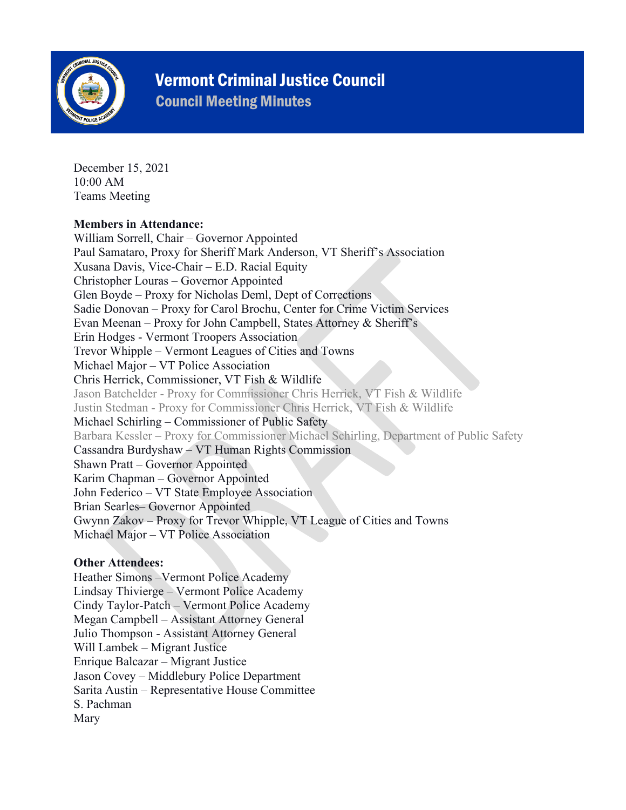

## Vermont Criminal Justice Council

Council Meeting Minutes

December 15, 2021 10:00 AM Teams Meeting

#### **Members in Attendance:**

William Sorrell, Chair – Governor Appointed Paul Samataro, Proxy for Sheriff Mark Anderson, VT Sheriff's Association Xusana Davis, Vice-Chair – E.D. Racial Equity Christopher Louras – Governor Appointed Glen Boyde – Proxy for Nicholas Deml, Dept of Corrections Sadie Donovan – Proxy for Carol Brochu, Center for Crime Victim Services Evan Meenan – Proxy for John Campbell, States Attorney & Sheriff's Erin Hodges - Vermont Troopers Association Trevor Whipple – Vermont Leagues of Cities and Towns Michael Major – VT Police Association Chris Herrick, Commissioner, VT Fish & Wildlife Jason Batchelder - Proxy for Commissioner Chris Herrick, VT Fish & Wildlife Justin Stedman - Proxy for Commissioner Chris Herrick, VT Fish & Wildlife Michael Schirling – Commissioner of Public Safety Barbara Kessler – Proxy for Commissioner Michael Schirling, Department of Public Safety Cassandra Burdyshaw – VT Human Rights Commission Shawn Pratt – Governor Appointed Karim Chapman – Governor Appointed John Federico – VT State Employee Association Brian Searles– Governor Appointed Gwynn Zakov – Proxy for Trevor Whipple, VT League of Cities and Towns Michael Major – VT Police Association

#### **Other Attendees:**

Heather Simons –Vermont Police Academy Lindsay Thivierge – Vermont Police Academy Cindy Taylor-Patch – Vermont Police Academy Megan Campbell – Assistant Attorney General Julio Thompson - Assistant Attorney General Will Lambek – Migrant Justice Enrique Balcazar – Migrant Justice Jason Covey – Middlebury Police Department Sarita Austin – Representative House Committee S. Pachman Mary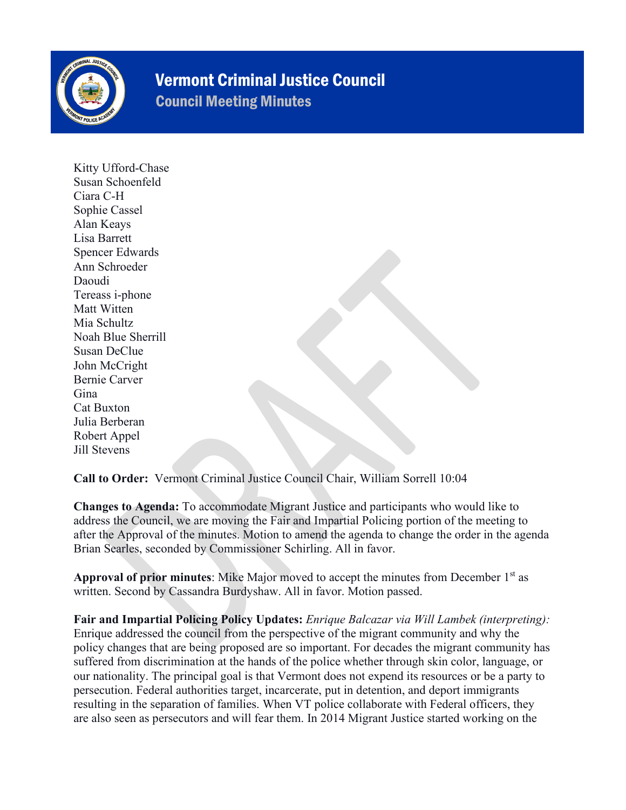

# Vermont Criminal Justice Council

Council Meeting Minutes

Kitty Ufford-Chase Susan Schoenfeld Ciara C-H Sophie Cassel Alan Keays Lisa Barrett Spencer Edwards Ann Schroeder Daoudi Tereass i-phone Matt Witten Mia Schultz Noah Blue Sherrill Susan DeClue John McCright Bernie Carver Gina Cat Buxton Julia Berberan Robert Appel Jill Stevens

**Call to Order:** Vermont Criminal Justice Council Chair, William Sorrell 10:04

**Changes to Agenda:** To accommodate Migrant Justice and participants who would like to address the Council, we are moving the Fair and Impartial Policing portion of the meeting to after the Approval of the minutes. Motion to amend the agenda to change the order in the agenda Brian Searles, seconded by Commissioner Schirling. All in favor.

**Approval of prior minutes**: Mike Major moved to accept the minutes from December 1st as written. Second by Cassandra Burdyshaw. All in favor. Motion passed.

**Fair and Impartial Policing Policy Updates:** *Enrique Balcazar via Will Lambek (interpreting):*  Enrique addressed the council from the perspective of the migrant community and why the policy changes that are being proposed are so important. For decades the migrant community has suffered from discrimination at the hands of the police whether through skin color, language, or our nationality. The principal goal is that Vermont does not expend its resources or be a party to persecution. Federal authorities target, incarcerate, put in detention, and deport immigrants resulting in the separation of families. When VT police collaborate with Federal officers, they are also seen as persecutors and will fear them. In 2014 Migrant Justice started working on the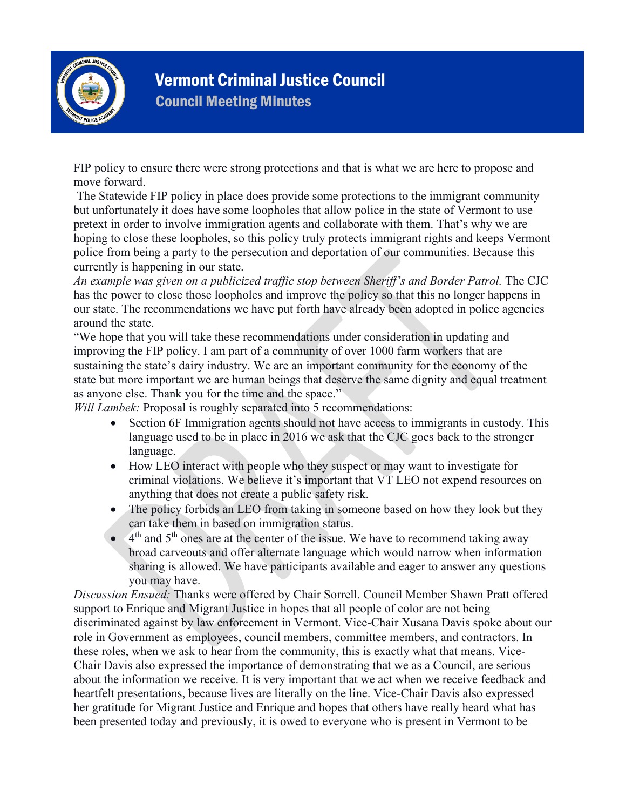

## Vermont Criminal Justice Council Council Meeting Minutes

FIP policy to ensure there were strong protections and that is what we are here to propose and move forward.

The Statewide FIP policy in place does provide some protections to the immigrant community but unfortunately it does have some loopholes that allow police in the state of Vermont to use pretext in order to involve immigration agents and collaborate with them. That's why we are hoping to close these loopholes, so this policy truly protects immigrant rights and keeps Vermont police from being a party to the persecution and deportation of our communities. Because this currently is happening in our state.

*An example was given on a publicized traffic stop between Sheriff's and Border Patrol.* The CJC has the power to close those loopholes and improve the policy so that this no longer happens in our state. The recommendations we have put forth have already been adopted in police agencies around the state.

"We hope that you will take these recommendations under consideration in updating and improving the FIP policy. I am part of a community of over 1000 farm workers that are sustaining the state's dairy industry. We are an important community for the economy of the state but more important we are human beings that deserve the same dignity and equal treatment as anyone else. Thank you for the time and the space."

*Will Lambek:* Proposal is roughly separated into 5 recommendations:

- Section 6F Immigration agents should not have access to immigrants in custody. This language used to be in place in 2016 we ask that the CJC goes back to the stronger language.
- How LEO interact with people who they suspect or may want to investigate for criminal violations. We believe it's important that VT LEO not expend resources on anything that does not create a public safety risk.
- The policy forbids an LEO from taking in someone based on how they look but they can take them in based on immigration status.
- $\bullet$  4<sup>th</sup> and 5<sup>th</sup> ones are at the center of the issue. We have to recommend taking away broad carveouts and offer alternate language which would narrow when information sharing is allowed. We have participants available and eager to answer any questions you may have.

*Discussion Ensued:* Thanks were offered by Chair Sorrell. Council Member Shawn Pratt offered support to Enrique and Migrant Justice in hopes that all people of color are not being discriminated against by law enforcement in Vermont. Vice-Chair Xusana Davis spoke about our role in Government as employees, council members, committee members, and contractors. In these roles, when we ask to hear from the community, this is exactly what that means. Vice-Chair Davis also expressed the importance of demonstrating that we as a Council, are serious about the information we receive. It is very important that we act when we receive feedback and heartfelt presentations, because lives are literally on the line. Vice-Chair Davis also expressed her gratitude for Migrant Justice and Enrique and hopes that others have really heard what has been presented today and previously, it is owed to everyone who is present in Vermont to be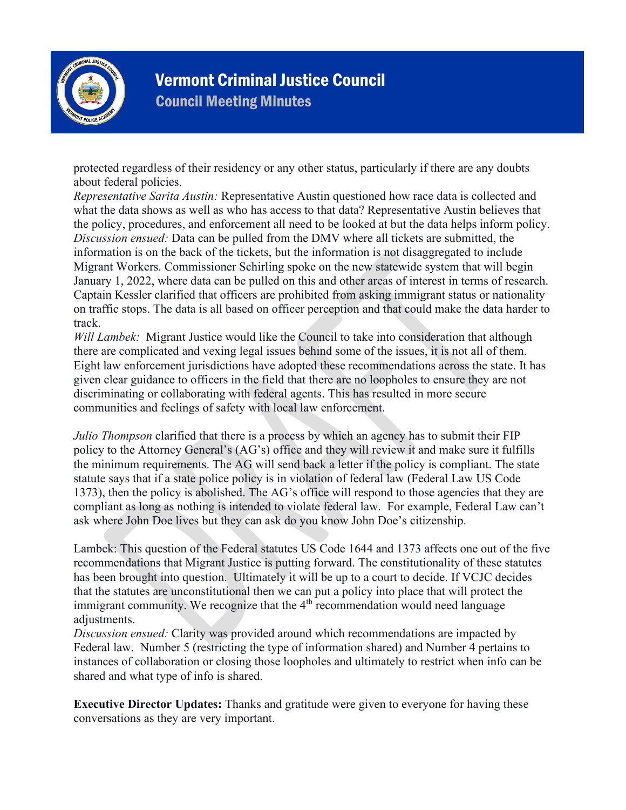

## Vermont Criminal Justice Council Council Meeting Minutes

protected regardless of their residency or any other status, particularly if there are any doubts about federal policies.

*Representative Sarita Austin:* Representative Austin questioned how race data is collected and what the data shows as well as who has access to that data? Representative Austin believes that the policy, procedures, and enforcement all need to be looked at but the data helps inform policy. *Discussion ensued:* Data can be pulled from the DMV where all tickets are submitted, the information is on the back of the tickets, but the information is not disaggregated to include Migrant Workers. Commissioner Schirling spoke on the new statewide system that will begin January 1, 2022, where data can be pulled on this and other areas of interest in terms of research. Captain Kessler clarified that officers are prohibited from asking immigrant status or nationality on traffic stops. The data is all based on officer perception and that could make the data harder to track.

*Will Lambek:* Migrant Justice would like the Council to take into consideration that although there are complicated and vexing legal issues behind some of the issues, it is not all of them. Eight law enforcement jurisdictions have adopted these recommendations across the state. It has given clear guidance to officers in the field that there are no loopholes to ensure they are not discriminating or collaborating with federal agents. This has resulted in more secure communities and feelings of safety with local law enforcement.

*Julio Thompson* clarified that there is a process by which an agency has to submit their FIP policy to the Attorney General's (AG's) office and they will review it and make sure it fulfills the minimum requirements. The AG will send back a letter if the policy is compliant. The state statute says that if a state police policy is in violation of federal law (Federal Law US Code 1373), then the policy is abolished. The AG's office will respond to those agencies that they are compliant as long as nothing is intended to violate federal law. For example, Federal Law can't ask where John Doe lives but they can ask do you know John Doe's citizenship.

Lambek: This question of the Federal statutes US Code 1644 and 1373 affects one out of the five recommendations that Migrant Justice is putting forward. The constitutionality of these statutes has been brought into question. Ultimately it will be up to a court to decide. If VCJC decides that the statutes are unconstitutional then we can put a policy into place that will protect the immigrant community. We recognize that the  $4<sup>th</sup>$  recommendation would need language adjustments.

*Discussion ensued:* Clarity was provided around which recommendations are impacted by Federal law. Number 5 (restricting the type of information shared) and Number 4 pertains to instances of collaboration or closing those loopholes and ultimately to restrict when info can be shared and what type of info is shared.

**Executive Director Updates:** Thanks and gratitude were given to everyone for having these conversations as they are very important.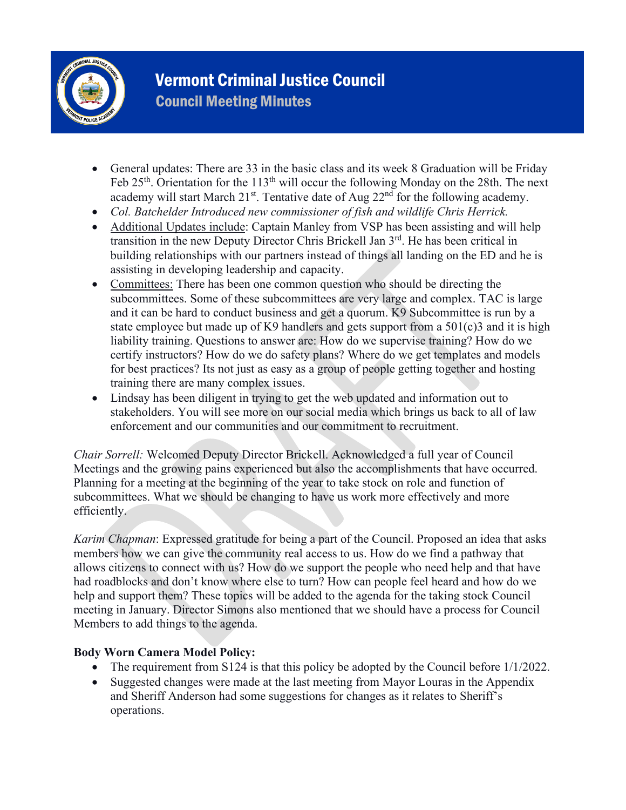

## Vermont Criminal Justice Council Council Meeting Minutes

- General updates: There are 33 in the basic class and its week 8 Graduation will be Friday Feb 25<sup>th</sup>. Orientation for the 113<sup>th</sup> will occur the following Monday on the 28th. The next academy will start March  $21^{st}$ . Tentative date of Aug  $22^{nd}$  for the following academy.
- *Col. Batchelder Introduced new commissioner of fish and wildlife Chris Herrick.*
- Additional Updates include: Captain Manley from VSP has been assisting and will help transition in the new Deputy Director Chris Brickell Jan 3<sup>rd</sup>. He has been critical in building relationships with our partners instead of things all landing on the ED and he is assisting in developing leadership and capacity.
- Committees: There has been one common question who should be directing the subcommittees. Some of these subcommittees are very large and complex. TAC is large and it can be hard to conduct business and get a quorum. K9 Subcommittee is run by a state employee but made up of K9 handlers and gets support from a  $501(c)3$  and it is high liability training. Questions to answer are: How do we supervise training? How do we certify instructors? How do we do safety plans? Where do we get templates and models for best practices? Its not just as easy as a group of people getting together and hosting training there are many complex issues.
- Lindsay has been diligent in trying to get the web updated and information out to stakeholders. You will see more on our social media which brings us back to all of law enforcement and our communities and our commitment to recruitment.

*Chair Sorrell:* Welcomed Deputy Director Brickell. Acknowledged a full year of Council Meetings and the growing pains experienced but also the accomplishments that have occurred. Planning for a meeting at the beginning of the year to take stock on role and function of subcommittees. What we should be changing to have us work more effectively and more efficiently.

*Karim Chapman*: Expressed gratitude for being a part of the Council. Proposed an idea that asks members how we can give the community real access to us. How do we find a pathway that allows citizens to connect with us? How do we support the people who need help and that have had roadblocks and don't know where else to turn? How can people feel heard and how do we help and support them? These topics will be added to the agenda for the taking stock Council meeting in January. Director Simons also mentioned that we should have a process for Council Members to add things to the agenda.

#### **Body Worn Camera Model Policy:**

- The requirement from S124 is that this policy be adopted by the Council before 1/1/2022.
- Suggested changes were made at the last meeting from Mayor Louras in the Appendix and Sheriff Anderson had some suggestions for changes as it relates to Sheriff's operations.